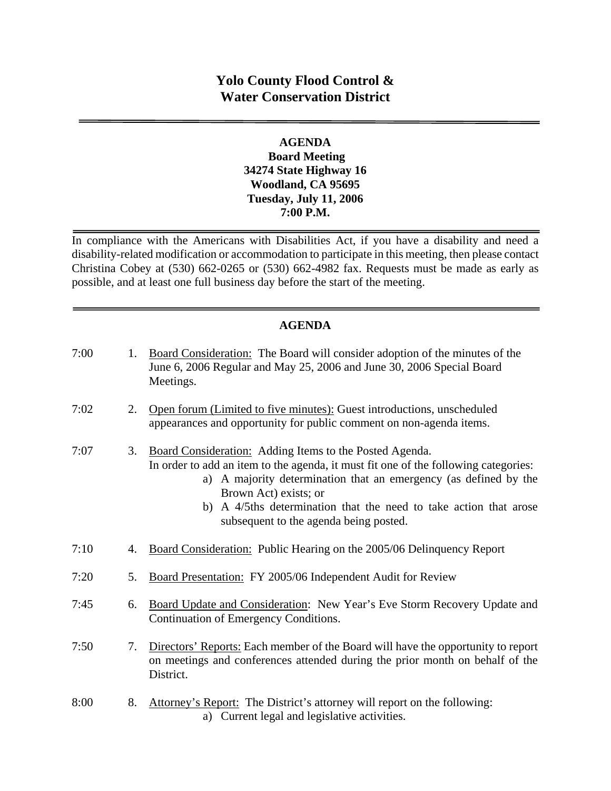# **Yolo County Flood Control & Water Conservation District**

### **AGENDA Board Meeting 34274 State Highway 16 Woodland, CA 95695 Tuesday, July 11, 2006 7:00 P.M.**

In compliance with the Americans with Disabilities Act, if you have a disability and need a disability-related modification or accommodation to participate in this meeting, then please contact Christina Cobey at (530) 662-0265 or (530) 662-4982 fax. Requests must be made as early as possible, and at least one full business day before the start of the meeting.

# **AGENDA**

| 7:00 | 1. | Board Consideration: The Board will consider adoption of the minutes of the<br>June 6, 2006 Regular and May 25, 2006 and June 30, 2006 Special Board<br>Meetings.                                                                                                                                                                                          |
|------|----|------------------------------------------------------------------------------------------------------------------------------------------------------------------------------------------------------------------------------------------------------------------------------------------------------------------------------------------------------------|
| 7:02 | 2. | Open forum (Limited to five minutes): Guest introductions, unscheduled<br>appearances and opportunity for public comment on non-agenda items.                                                                                                                                                                                                              |
| 7:07 | 3. | Board Consideration: Adding Items to the Posted Agenda.<br>In order to add an item to the agenda, it must fit one of the following categories:<br>a) A majority determination that an emergency (as defined by the<br>Brown Act) exists; or<br>b) A 4/5ths determination that the need to take action that arose<br>subsequent to the agenda being posted. |
| 7:10 | 4. | Board Consideration: Public Hearing on the 2005/06 Delinquency Report                                                                                                                                                                                                                                                                                      |
| 7:20 | 5. | Board Presentation: FY 2005/06 Independent Audit for Review                                                                                                                                                                                                                                                                                                |
| 7:45 | 6. | Board Update and Consideration: New Year's Eve Storm Recovery Update and<br>Continuation of Emergency Conditions.                                                                                                                                                                                                                                          |
| 7:50 | 7. | Directors' Reports: Each member of the Board will have the opportunity to report<br>on meetings and conferences attended during the prior month on behalf of the<br>District.                                                                                                                                                                              |
| 8:00 | 8. | Attorney's Report: The District's attorney will report on the following:                                                                                                                                                                                                                                                                                   |

a) Current legal and legislative activities.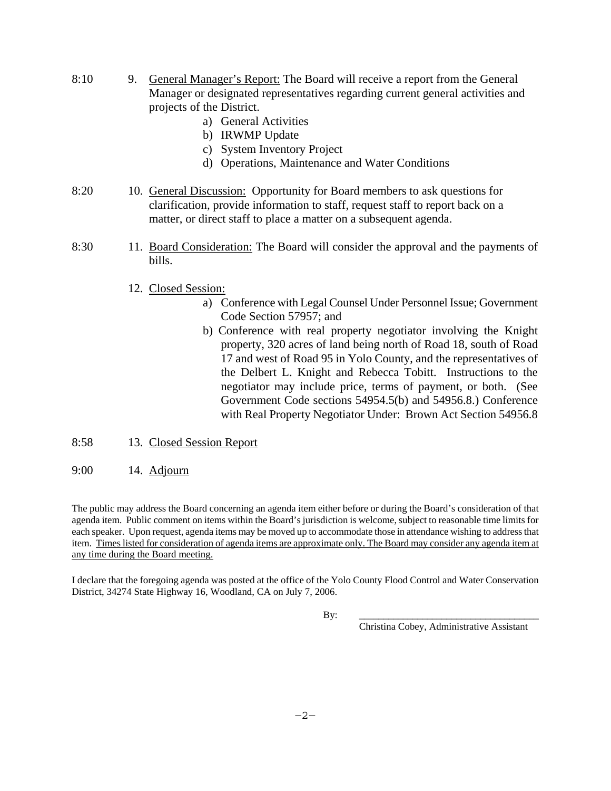- 8:10 9. General Manager's Report: The Board will receive a report from the General Manager or designated representatives regarding current general activities and projects of the District.
	- a) General Activities
	- b) IRWMP Update
	- c) System Inventory Project
	- d) Operations, Maintenance and Water Conditions
- 8:20 10. General Discussion: Opportunity for Board members to ask questions for clarification, provide information to staff, request staff to report back on a matter, or direct staff to place a matter on a subsequent agenda.
- 8:30 11. Board Consideration: The Board will consider the approval and the payments of bills.
	- 12. Closed Session:
		- a) Conference with Legal Counsel Under Personnel Issue; Government Code Section 57957; and
		- b) Conference with real property negotiator involving the Knight property, 320 acres of land being north of Road 18, south of Road 17 and west of Road 95 in Yolo County, and the representatives of the Delbert L. Knight and Rebecca Tobitt. Instructions to the negotiator may include price, terms of payment, or both. (See Government Code sections 54954.5(b) and 54956.8.) Conference with Real Property Negotiator Under: Brown Act Section 54956.8
- 8:58 13. Closed Session Report
- 9:00 14. Adjourn

The public may address the Board concerning an agenda item either before or during the Board's consideration of that agenda item. Public comment on items within the Board's jurisdiction is welcome, subject to reasonable time limits for each speaker. Upon request, agenda items may be moved up to accommodate those in attendance wishing to address that item. Times listed for consideration of agenda items are approximate only. The Board may consider any agenda item at any time during the Board meeting.

I declare that the foregoing agenda was posted at the office of the Yolo County Flood Control and Water Conservation District, 34274 State Highway 16, Woodland, CA on July 7, 2006.

By: \_\_\_\_\_\_\_\_\_\_\_\_\_\_\_\_\_\_\_\_\_\_\_\_\_\_\_\_\_\_\_\_\_\_\_\_\_

Christina Cobey, Administrative Assistant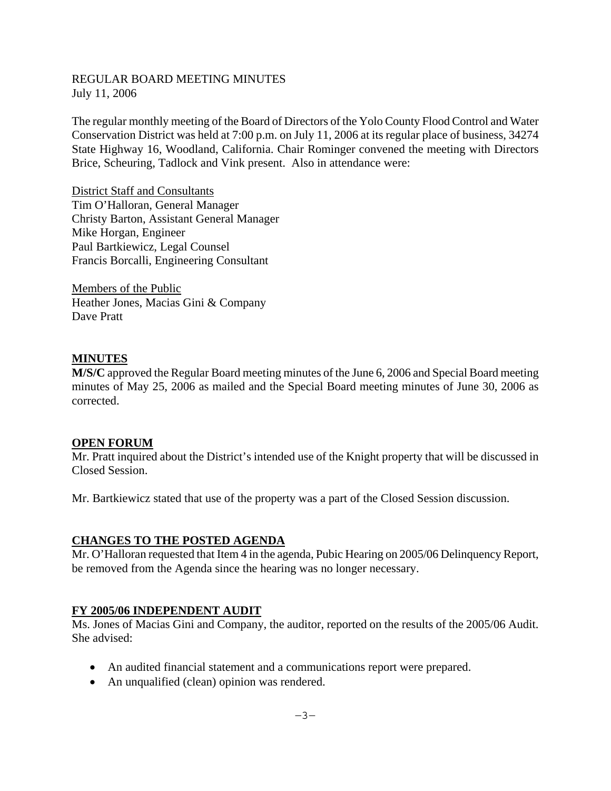### REGULAR BOARD MEETING MINUTES July 11, 2006

The regular monthly meeting of the Board of Directors of the Yolo County Flood Control and Water Conservation District was held at 7:00 p.m. on July 11, 2006 at its regular place of business, 34274 State Highway 16, Woodland, California. Chair Rominger convened the meeting with Directors Brice, Scheuring, Tadlock and Vink present. Also in attendance were:

District Staff and Consultants Tim O'Halloran, General Manager Christy Barton, Assistant General Manager Mike Horgan, Engineer Paul Bartkiewicz, Legal Counsel Francis Borcalli, Engineering Consultant

Members of the Public Heather Jones, Macias Gini & Company Dave Pratt

### **MINUTES**

**M/S/C** approved the Regular Board meeting minutes of the June 6, 2006 and Special Board meeting minutes of May 25, 2006 as mailed and the Special Board meeting minutes of June 30, 2006 as corrected.

#### **OPEN FORUM**

Mr. Pratt inquired about the District's intended use of the Knight property that will be discussed in Closed Session.

Mr. Bartkiewicz stated that use of the property was a part of the Closed Session discussion.

#### **CHANGES TO THE POSTED AGENDA**

Mr. O'Halloran requested that Item 4 in the agenda, Pubic Hearing on 2005/06 Delinquency Report, be removed from the Agenda since the hearing was no longer necessary.

#### **FY 2005/06 INDEPENDENT AUDIT**

Ms. Jones of Macias Gini and Company, the auditor, reported on the results of the 2005/06 Audit. She advised:

- An audited financial statement and a communications report were prepared.
- An unqualified (clean) opinion was rendered.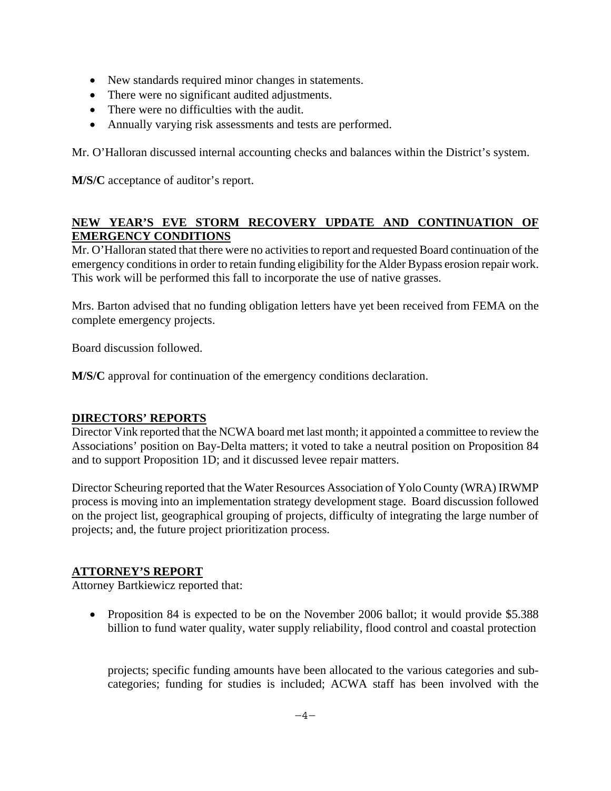- New standards required minor changes in statements.
- There were no significant audited adjustments.
- There were no difficulties with the audit.
- Annually varying risk assessments and tests are performed.

Mr. O'Halloran discussed internal accounting checks and balances within the District's system.

**M/S/C** acceptance of auditor's report.

# **NEW YEAR'S EVE STORM RECOVERY UPDATE AND CONTINUATION OF EMERGENCY CONDITIONS**

Mr. O'Halloran stated that there were no activities to report and requested Board continuation of the emergency conditions in order to retain funding eligibility for the Alder Bypass erosion repair work. This work will be performed this fall to incorporate the use of native grasses.

Mrs. Barton advised that no funding obligation letters have yet been received from FEMA on the complete emergency projects.

Board discussion followed.

**M/S/C** approval for continuation of the emergency conditions declaration.

## **DIRECTORS' REPORTS**

Director Vink reported that the NCWA board met last month; it appointed a committee to review the Associations' position on Bay-Delta matters; it voted to take a neutral position on Proposition 84 and to support Proposition 1D; and it discussed levee repair matters.

Director Scheuring reported that the Water Resources Association of Yolo County (WRA) IRWMP process is moving into an implementation strategy development stage. Board discussion followed on the project list, geographical grouping of projects, difficulty of integrating the large number of projects; and, the future project prioritization process.

## **ATTORNEY'S REPORT**

Attorney Bartkiewicz reported that:

• Proposition 84 is expected to be on the November 2006 ballot; it would provide \$5.388 billion to fund water quality, water supply reliability, flood control and coastal protection

projects; specific funding amounts have been allocated to the various categories and subcategories; funding for studies is included; ACWA staff has been involved with the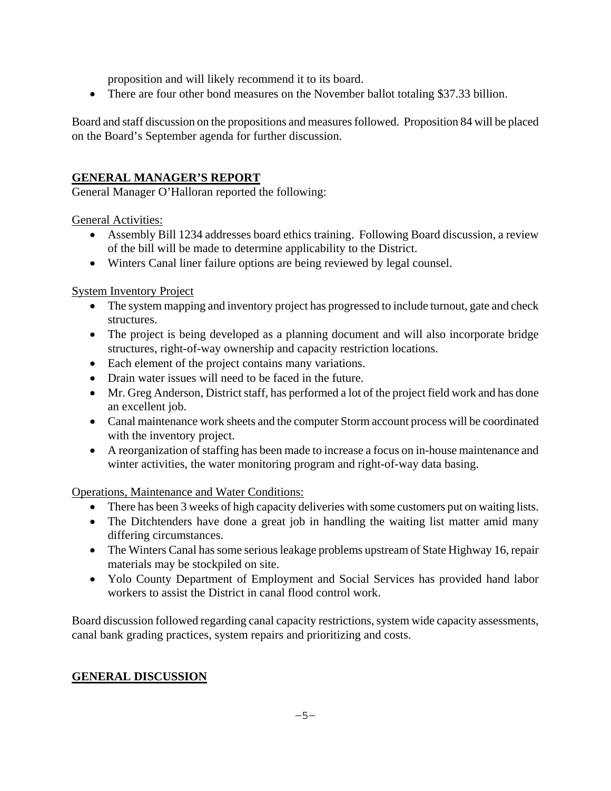proposition and will likely recommend it to its board.

• There are four other bond measures on the November ballot totaling \$37.33 billion.

Board and staff discussion on the propositions and measures followed. Proposition 84 will be placed on the Board's September agenda for further discussion.

# **GENERAL MANAGER'S REPORT**

General Manager O'Halloran reported the following:

General Activities:

- Assembly Bill 1234 addresses board ethics training. Following Board discussion, a review of the bill will be made to determine applicability to the District.
- Winters Canal liner failure options are being reviewed by legal counsel.

System Inventory Project

- The system mapping and inventory project has progressed to include turnout, gate and check structures.
- The project is being developed as a planning document and will also incorporate bridge structures, right-of-way ownership and capacity restriction locations.
- Each element of the project contains many variations.
- Drain water issues will need to be faced in the future.
- Mr. Greg Anderson, District staff, has performed a lot of the project field work and has done an excellent job.
- Canal maintenance work sheets and the computer Storm account process will be coordinated with the inventory project.
- A reorganization of staffing has been made to increase a focus on in-house maintenance and winter activities, the water monitoring program and right-of-way data basing.

Operations, Maintenance and Water Conditions:

- There has been 3 weeks of high capacity deliveries with some customers put on waiting lists.
- The Ditchtenders have done a great job in handling the waiting list matter amid many differing circumstances.
- The Winters Canal has some serious leakage problems upstream of State Highway 16, repair materials may be stockpiled on site.
- Yolo County Department of Employment and Social Services has provided hand labor workers to assist the District in canal flood control work.

Board discussion followed regarding canal capacity restrictions, system wide capacity assessments, canal bank grading practices, system repairs and prioritizing and costs.

# **GENERAL DISCUSSION**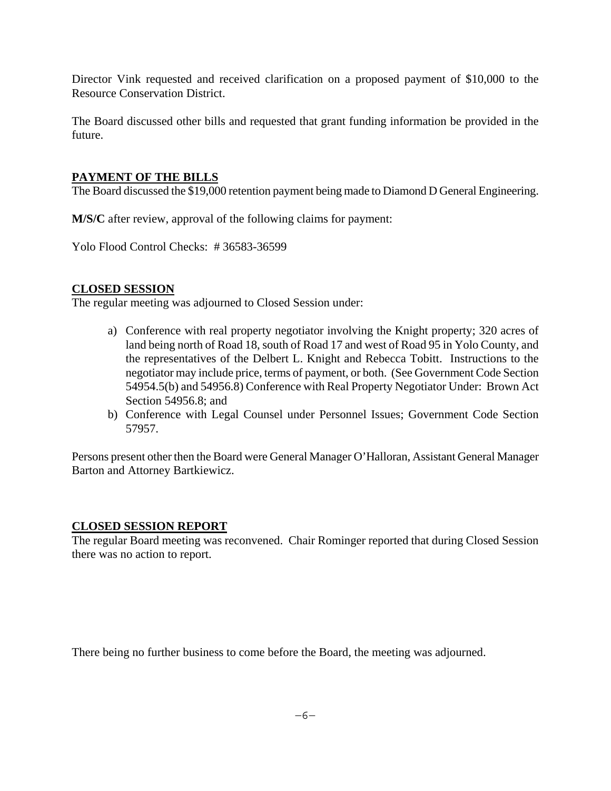Director Vink requested and received clarification on a proposed payment of \$10,000 to the Resource Conservation District.

The Board discussed other bills and requested that grant funding information be provided in the future.

### **PAYMENT OF THE BILLS**

The Board discussed the \$19,000 retention payment being made to Diamond D General Engineering.

**M/S/C** after review, approval of the following claims for payment:

Yolo Flood Control Checks: # 36583-36599

### **CLOSED SESSION**

The regular meeting was adjourned to Closed Session under:

- a) Conference with real property negotiator involving the Knight property; 320 acres of land being north of Road 18, south of Road 17 and west of Road 95 in Yolo County, and the representatives of the Delbert L. Knight and Rebecca Tobitt. Instructions to the negotiator may include price, terms of payment, or both. (See Government Code Section 54954.5(b) and 54956.8) Conference with Real Property Negotiator Under: Brown Act Section 54956.8; and
- b) Conference with Legal Counsel under Personnel Issues; Government Code Section 57957.

Persons present other then the Board were General Manager O'Halloran, Assistant General Manager Barton and Attorney Bartkiewicz.

#### **CLOSED SESSION REPORT**

The regular Board meeting was reconvened. Chair Rominger reported that during Closed Session there was no action to report.

There being no further business to come before the Board, the meeting was adjourned.